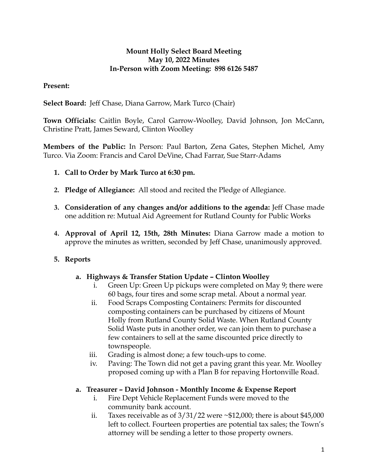### **Mount Holly Select Board Meeting May 10, 2022 Minutes In-Person with Zoom Meeting: 898 6126 5487**

### **Present:**

**Select Board:** Jeff Chase, Diana Garrow, Mark Turco (Chair)

**Town Officials:** Caitlin Boyle, Carol Garrow-Woolley, David Johnson, Jon McCann, Christine Pratt, James Seward, Clinton Woolley

**Members of the Public:** In Person: Paul Barton, Zena Gates, Stephen Michel, Amy Turco. Via Zoom: Francis and Carol DeVine, Chad Farrar, Sue Starr-Adams

- **1. Call to Order by Mark Turco at 6:30 pm.**
- **2. Pledge of Allegiance:** All stood and recited the Pledge of Allegiance.
- **3. Consideration of any changes and/or additions to the agenda:** Jeff Chase made one addition re: Mutual Aid Agreement for Rutland County for Public Works
- **4. Approval of April 12, 15th, 28th Minutes:** Diana Garrow made a motion to approve the minutes as written, seconded by Jeff Chase, unanimously approved.

# **5. Reports**

#### **a. Highways & Transfer Station Update – Clinton Woolley**

- i. Green Up: Green Up pickups were completed on May 9; there were 60 bags, four tires and some scrap metal. About a normal year.
- ii. Food Scraps Composting Containers: Permits for discounted composting containers can be purchased by citizens of Mount Holly from Rutland County Solid Waste. When Rutland County Solid Waste puts in another order, we can join them to purchase a few containers to sell at the same discounted price directly to townspeople.
- iii. Grading is almost done; a few touch-ups to come.
- iv. Paving: The Town did not get a paving grant this year. Mr. Woolley proposed coming up with a Plan B for repaving Hortonville Road.

# **a. Treasurer – David Johnson - Monthly Income & Expense Report**

- i. Fire Dept Vehicle Replacement Funds were moved to the community bank account.
- ii. Taxes receivable as of  $3/31/22$  were  $\sim$ \$12,000; there is about \$45,000 left to collect. Fourteen properties are potential tax sales; the Town's attorney will be sending a letter to those property owners.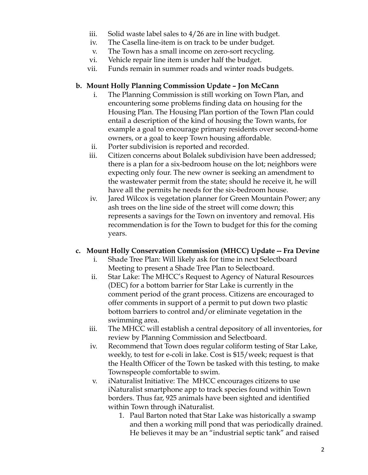- iii. Solid waste label sales to 4/26 are in line with budget.
- iv. The Casella line-item is on track to be under budget.
- v. The Town has a small income on zero-sort recycling.
- vi. Vehicle repair line item is under half the budget.
- vii. Funds remain in summer roads and winter roads budgets.

#### **b. Mount Holly Planning Commission Update – Jon McCann**

- i. The Planning Commission is still working on Town Plan, and encountering some problems finding data on housing for the Housing Plan. The Housing Plan portion of the Town Plan could entail a description of the kind of housing the Town wants, for example a goal to encourage primary residents over second-home owners, or a goal to keep Town housing affordable.
- ii. Porter subdivision is reported and recorded.
- iii. Citizen concerns about Bolalek subdivision have been addressed; there is a plan for a six-bedroom house on the lot; neighbors were expecting only four. The new owner is seeking an amendment to the wastewater permit from the state; should he receive it, he will have all the permits he needs for the six-bedroom house.
- iv. Jared Wilcox is vegetation planner for Green Mountain Power; any ash trees on the line side of the street will come down; this represents a savings for the Town on inventory and removal. His recommendation is for the Town to budget for this for the coming years.

#### **c. Mount Holly Conservation Commission (MHCC) Update -- Fra Devine**

- i. Shade Tree Plan: Will likely ask for time in next Selectboard Meeting to present a Shade Tree Plan to Selectboard.
- ii. Star Lake: The MHCC's Request to Agency of Natural Resources (DEC) for a bottom barrier for Star Lake is currently in the comment period of the grant process. Citizens are encouraged to offer comments in support of a permit to put down two plastic bottom barriers to control and/or eliminate vegetation in the swimming area.
- iii. The MHCC will establish a central depository of all inventories, for review by Planning Commission and Selectboard.
- iv. Recommend that Town does regular coliform testing of Star Lake, weekly, to test for e-coli in lake. Cost is \$15/week; request is that the Health Officer of the Town be tasked with this testing, to make Townspeople comfortable to swim.
- v. iNaturalist Initiative: The MHCC encourages citizens to use iNaturalist smartphone app to track species found within Town borders. Thus far, 925 animals have been sighted and identified within Town through iNaturalist.
	- 1. Paul Barton noted that Star Lake was historically a swamp and then a working mill pond that was periodically drained. He believes it may be an "industrial septic tank" and raised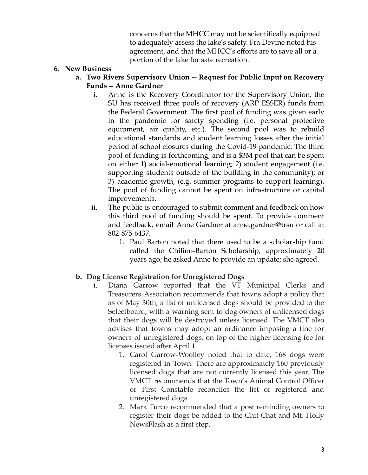concerns that the MHCC may not be scientifically equipped to adequately assess the lake's safety. Fra Devine noted his agreement, and that the MHCC's efforts are to save all or a portion of the lake for safe recreation.

#### **6. New Business**

#### **a. Two Rivers Supervisory Union -- Request for Public Input on Recovery Funds -- Anne Gardner**

- i. Anne is the Recovery Coordinator for the Supervisory Union; the SU has received three pools of recovery (ARP ESSER) funds from the Federal Government. The first pool of funding was given early in the pandemic for safety spending (i.e. personal protective equipment, air quality, etc.). The second pool was to rebuild educational standards and student learning losses after the initial period of school closures during the Covid-19 pandemic. The third pool of funding is forthcoming, and is a \$3M pool that can be spent on either 1) social-emotional learning; 2) student engagement (i.e. supporting students outside of the building in the community); or 3) academic growth, (e.g. summer programs to support learning). The pool of funding cannot be spent on infrastructure or capital improvements.
- ii. The public is encouraged to submit comment and feedback on how this third pool of funding should be spent. To provide comment and feedback, email Anne Gardner at anne.gardner@trsu or call at 802-875-6437.
	- 1. Paul Barton noted that there used to be a scholarship fund called the Chilino-Barton Scholarship, approximately 20 years ago; he asked Anne to provide an update; she agreed.

# **b. Dog License Registration for Unregistered Dogs**

- i. Diana Garrow reported that the VT Municipal Clerks and Treasurers Association recommends that towns adopt a policy that as of May 30th, a list of unlicensed dogs should be provided to the Selectboard, with a warning sent to dog owners of unlicensed dogs that their dogs will be destroyed unless licensed. The VMCT also advises that towns may adopt an ordinance imposing a fine for owners of unregistered dogs, on top of the higher licensing fee for licenses issued after April 1.
	- 1. Carol Garrow-Woolley noted that to date, 168 dogs were registered in Town. There are approximately 160 previously licensed dogs that are not currently licensed this year. The VMCT recommends that the Town's Animal Control Officer or First Constable reconciles the list of registered and unregistered dogs.
	- 2. Mark Turco recommended that a post reminding owners to register their dogs be added to the Chit Chat and Mt. Holly NewsFlash as a first step.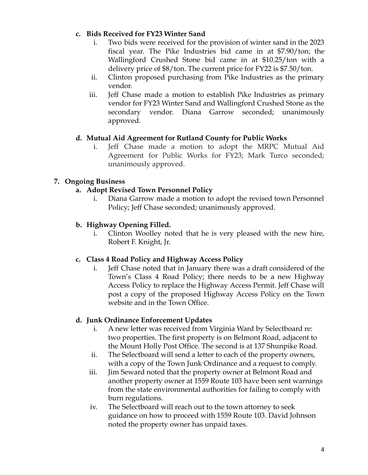### **c. Bids Received for FY23 Winter Sand**

- i. Two bids were received for the provision of winter sand in the 2023 fiscal year. The Pike Industries bid came in at \$7.90/ton; the Wallingford Crushed Stone bid came in at \$10.25/ton with a delivery price of \$8/ton. The current price for FY22 is \$7.50/ton.
- ii. Clinton proposed purchasing from Pike Industries as the primary vendor.
- iii. Jeff Chase made a motion to establish Pike Industries as primary vendor for FY23 Winter Sand and Wallingford Crushed Stone as the secondary vendor. Diana Garrow seconded; unanimously approved.

# **d. Mutual Aid Agreement for Rutland County for Public Works**

i. Jeff Chase made a motion to adopt the MRPC Mutual Aid Agreement for Public Works for FY23; Mark Turco seconded; unanimously approved.

# **7. Ongoing Business**

# **a. Adopt Revised Town Personnel Policy**

i. Diana Garrow made a motion to adopt the revised town Personnel Policy; Jeff Chase seconded; unanimously approved.

# **b. Highway Opening Filled.**

i. Clinton Woolley noted that he is very pleased with the new hire, Robert F. Knight, Jr.

# **c. Class 4 Road Policy and Highway Access Policy**

i. Jeff Chase noted that in January there was a draft considered of the Town's Class 4 Road Policy; there needs to be a new Highway Access Policy to replace the Highway Access Permit. Jeff Chase will post a copy of the proposed Highway Access Policy on the Town website and in the Town Office.

# **d. Junk Ordinance Enforcement Updates**

- i. A new letter was received from Virginia Ward by Selectboard re: two properties. The first property is on Belmont Road, adjacent to the Mount Holly Post Office. The second is at 137 Shunpike Road.
- ii. The Selectboard will send a letter to each of the property owners, with a copy of the Town Junk Ordinance and a request to comply.
- iii. Jim Seward noted that the property owner at Belmont Road and another property owner at 1559 Route 103 have been sent warnings from the state environmental authorities for failing to comply with burn regulations.
- iv. The Selectboard will reach out to the town attorney to seek guidance on how to proceed with 1559 Route 103. David Johnson noted the property owner has unpaid taxes.